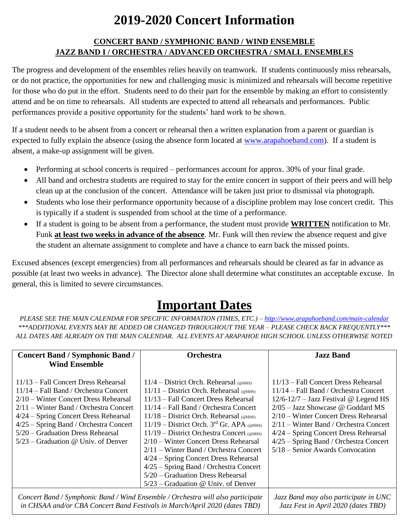## **2019-2020 Concert Information**

#### **CONCERT BAND / SYMPHONIC BAND / WIND ENSEMBLE JAZZ BAND I / ORCHESTRA / ADVANCED ORCHESTRA / SMALL ENSEMBLES**

The progress and development of the ensembles relies heavily on teamwork. If students continuously miss rehearsals, or do not practice, the opportunities for new and challenging music is minimized and rehearsals will become repetitive for those who do put in the effort. Students need to do their part for the ensemble by making an effort to consistently attend and be on time to rehearsals. All students are expected to attend all rehearsals and performances. Public performances provide a positive opportunity for the students' hard work to be shown.

If a student needs to be absent from a concert or rehearsal then a written explanation from a parent or guardian is expected to fully explain the absence (using the absence form located at [www.arapahoeband.com\)](http://www.arapahoeband.com/). If a student is absent, a make-up assignment will be given.

- Performing at school concerts is required performances account for approx. 30% of your final grade.
- All band and orchestra students are required to stay for the entire concert in support of their peers and will help clean up at the conclusion of the concert. Attendance will be taken just prior to dismissal via photograph.
- Students who lose their performance opportunity because of a discipline problem may lose concert credit. This is typically if a student is suspended from school at the time of a performance.
- If a student is going to be absent from a performance, the student must provide **WRITTEN** notification to Mr. Funk **at least two weeks in advance of the absence**. Mr. Funk will then review the absence request and give the student an alternate assignment to complete and have a chance to earn back the missed points.

Excused absences (except emergencies) from all performances and rehearsals should be cleared as far in advance as possible (at least two weeks in advance). The Director alone shall determine what constitutes an acceptable excuse. In general, this is limited to severe circumstances.

# **Important Dates**

*PLEASE SEE THE MAIN CALENDAR FOR SPECIFIC INFORMATION (TIMES, ETC.) – <http://www.arapahoeband.com/main-calendar> \*\*\*ADDITIONAL EVENTS MAY BE ADDED OR CHANGED THROUGHOUT THE YEAR – PLEASE CHECK BACK FREQUENTLY\*\*\* ALL DATES ARE ALREADY ON THE MAIN CALENDAR. ALL EVENTS AT ARAPAHOE HIGH SCHOOL UNLESS OTHERWISE NOTED*

| <b>Concert Band / Symphonic Band /</b>                                                                                                                        | <b>Orchestra</b>                            | <b>Jazz Band</b>                                                             |
|---------------------------------------------------------------------------------------------------------------------------------------------------------------|---------------------------------------------|------------------------------------------------------------------------------|
| <b>Wind Ensemble</b>                                                                                                                                          |                                             |                                                                              |
| 11/13 – Fall Concert Dress Rehearsal                                                                                                                          | $11/4$ – District Orch. Rehearsal (@HHS)    | 11/13 – Fall Concert Dress Rehearsal                                         |
| $11/14$ – Fall Band / Orchestra Concert                                                                                                                       | $11/11$ – District Orch. Rehearsal (@HHS)   | 11/14 – Fall Band / Orchestra Concert                                        |
| $2/10$ – Winter Concert Dress Rehearsal                                                                                                                       | 11/13 – Fall Concert Dress Rehearsal        | $12/6 - 12/7 -$ Jazz Festival @ Legend HS                                    |
| $2/11$ – Winter Band / Orchestra Concert                                                                                                                      | $11/14$ – Fall Band / Orchestra Concert     | $2/05 - \text{Jazz}$ Showcase @ Goddard MS                                   |
| 4/24 – Spring Concert Dress Rehearsal                                                                                                                         | $11/18$ – District Orch. Rehearsal (@HHS)   | 2/10 – Winter Concert Dress Rehearsal                                        |
| $4/25$ – Spring Band / Orchestra Concert                                                                                                                      | 11/19 - District Orch. $3rd$ Gr. APA (@HHS) | $2/11$ – Winter Band / Orchestra Concert                                     |
| $5/20$ – Graduation Dress Rehearsal                                                                                                                           | $11/19$ – District Orchestra Concert (@HHS) | 4/24 – Spring Concert Dress Rehearsal                                        |
| $5/23$ – Graduation @ Univ. of Denver                                                                                                                         | 2/10 – Winter Concert Dress Rehearsal       | 4/25 - Spring Band / Orchestra Concert                                       |
|                                                                                                                                                               | $2/11$ – Winter Band / Orchestra Concert    | 5/18 - Senior Awards Convocation                                             |
|                                                                                                                                                               | $4/24$ – Spring Concert Dress Rehearsal     |                                                                              |
|                                                                                                                                                               | $4/25$ – Spring Band / Orchestra Concert    |                                                                              |
|                                                                                                                                                               | 5/20 – Graduation Dress Rehearsal           |                                                                              |
|                                                                                                                                                               | $5/23$ – Graduation @ Univ. of Denver       |                                                                              |
| Concert Band / Symphonic Band / Wind Ensemble / Orchestra will also participate<br>in CHSAA and/or CBA Concert Band Festivals in March/April 2020 (dates TBD) |                                             | Jazz Band may also participate in UNC<br>Jazz Fest in April 2020 (dates TBD) |